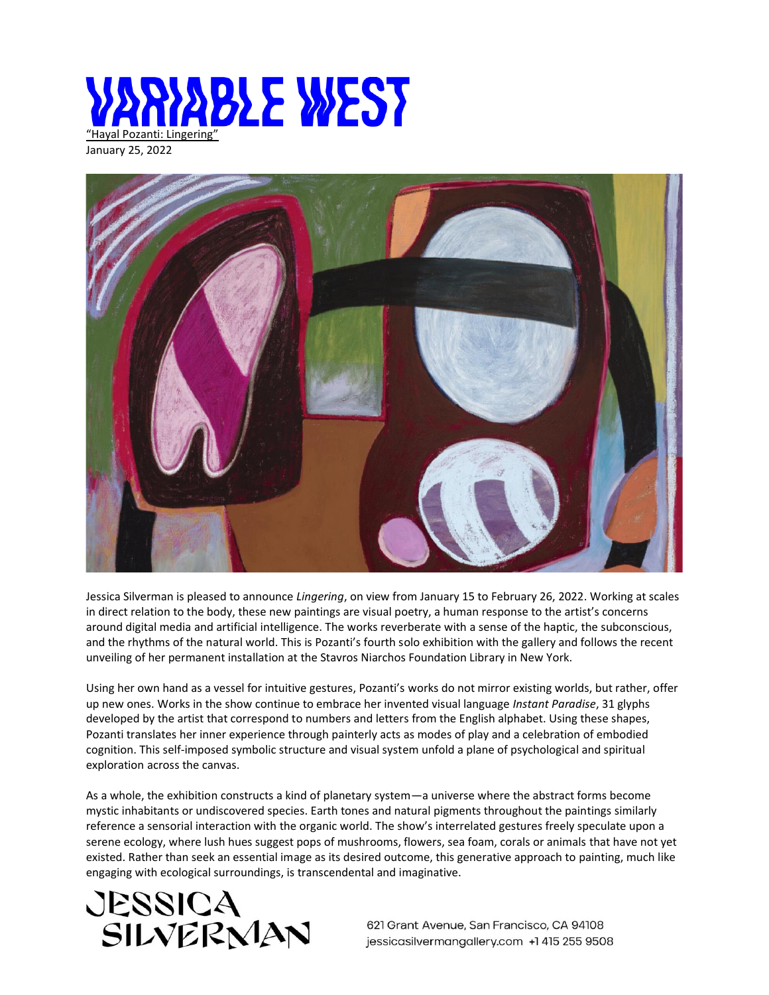

January 25, 2022



Jessica Silverman is pleased to announce *Lingering*, on view from January 15 to February 26, 2022. Working at scales in direct relation to the body, these new paintings are visual poetry, a human response to the artist's concerns around digital media and artificial intelligence. The works reverberate with a sense of the haptic, the subconscious, and the rhythms of the natural world. This is Pozanti's fourth solo exhibition with the gallery and follows the recent unveiling of her permanent installation at the Stavros Niarchos Foundation Library in New York.

Using her own hand as a vessel for intuitive gestures, Pozanti's works do not mirror existing worlds, but rather, offer up new ones. Works in the show continue to embrace her invented visual language *Instant Paradise*, 31 glyphs developed by the artist that correspond to numbers and letters from the English alphabet. Using these shapes, Pozanti translates her inner experience through painterly acts as modes of play and a celebration of embodied cognition. This self-imposed symbolic structure and visual system unfold a plane of psychological and spiritual exploration across the canvas.

As a whole, the exhibition constructs a kind of planetary system—a universe where the abstract forms become mystic inhabitants or undiscovered species. Earth tones and natural pigments throughout the paintings similarly reference a sensorial interaction with the organic world. The show's interrelated gestures freely speculate upon a serene ecology, where lush hues suggest pops of mushrooms, flowers, sea foam, corals or animals that have not yet existed. Rather than seek an essential image as its desired outcome, this generative approach to painting, much like engaging with ecological surroundings, is transcendental and imaginative.



621 Grant Avenue, San Francisco, CA 94108 jessicasilvermangallery.com +1 415 255 9508